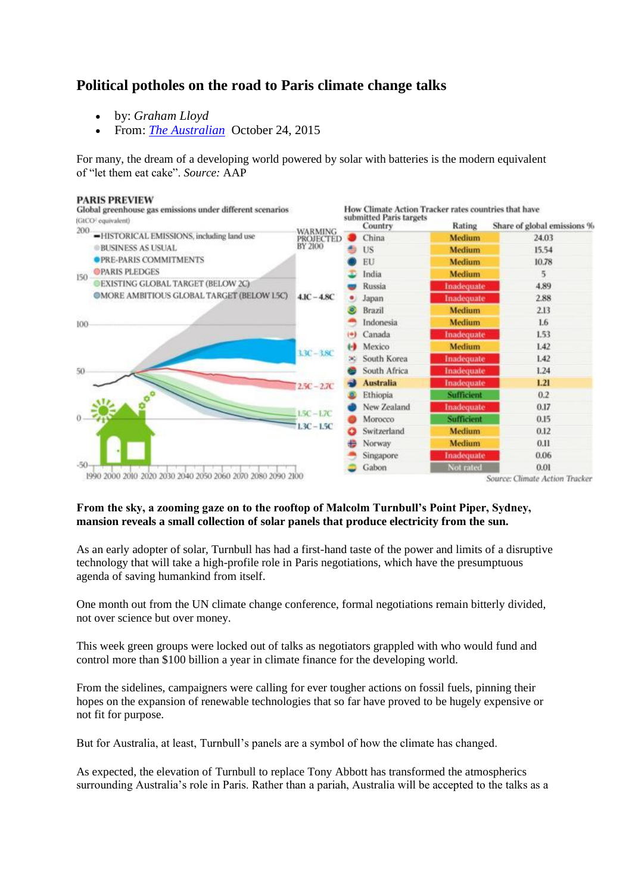## **Political potholes on the road to Paris climate change talks**

- by: *Graham Lloyd*
- From: *[The Australian](http://www.theaustralian.com.au/)* October 24, 2015

For many, the dream of a developing world powered by solar with batteries is the modern equivalent of "let them eat cake". *Source:* AAP



## **From the sky, a zooming gaze on to the rooftop of Malcolm Turnbull's Point Piper, Sydney, mansion reveals a small collection of solar panels that produce electricity from the sun.**

As an early adopter of solar, Turnbull has had a first-hand taste of the power and limits of a disruptive technology that will take a high-profile role in Paris negotiations, which have the presumptuous agenda of saving humankind from itself.

One month out from the UN climate change conference, formal negotiations remain bitterly divided, not over science but over money.

This week green groups were locked out of talks as negotiators grappled with who would fund and control more than \$100 billion a year in climate finance for the developing world.

From the sidelines, campaigners were calling for ever tougher actions on fossil fuels, pinning their hopes on the expansion of renewable technologies that so far have proved to be hugely expensive or not fit for purpose.

But for Australia, at least, Turnbull's panels are a symbol of how the climate has changed.

As expected, the elevation of Turnbull to replace Tony Abbott has transformed the atmospherics surrounding Australia's role in Paris. Rather than a pariah, Australia will be accepted to the talks as a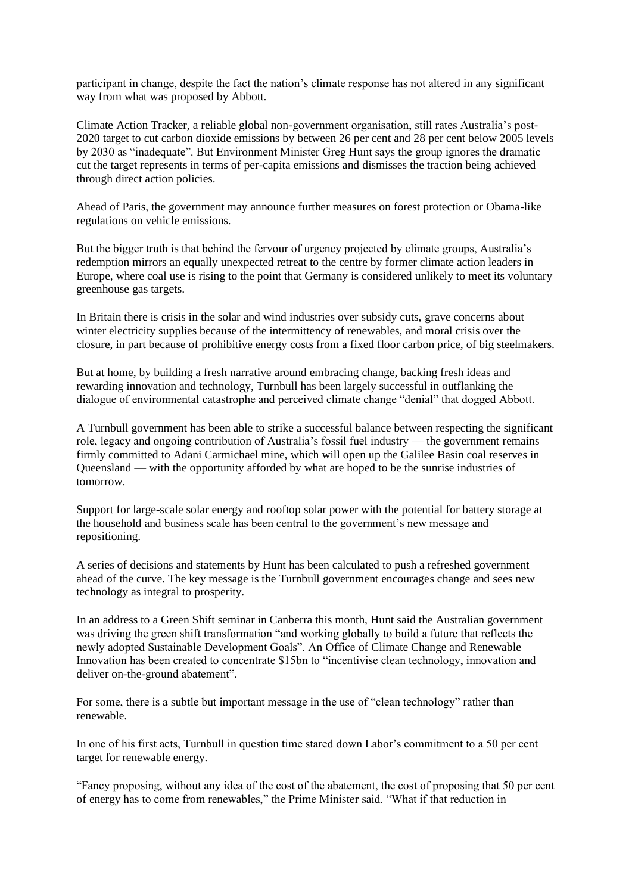participant in change, despite the fact the nation's climate response has not altered in any significant way from what was proposed by Abbott.

Climate Action Tracker, a reliable global non-government organisation, still rates Australia's post-2020 target to cut carbon dioxide emissions by between 26 per cent and 28 per cent below 2005 levels by 2030 as "inadequate". But Environment Minister Greg Hunt says the group ignores the dramatic cut the target represents in terms of per-capita emissions and dismisses the traction being achieved through direct action policies.

Ahead of Paris, the government may announce further measures on forest protection or Obama-like regulations on vehicle emissions.

But the bigger truth is that behind the fervour of urgency projected by climate groups, Australia's redemption mirrors an equally unexpected retreat to the centre by former climate action leaders in Europe, where coal use is rising to the point that Germany is considered unlikely to meet its voluntary greenhouse gas targets.

In Britain there is crisis in the solar and wind industries over subsidy cuts, grave concerns about winter electricity supplies because of the intermittency of renewables, and moral crisis over the closure, in part because of prohibitive energy costs from a fixed floor carbon price, of big steelmakers.

But at home, by building a fresh narrative around embracing change, backing fresh ideas and rewarding innovation and technology, Turnbull has been largely successful in outflanking the dialogue of environmental catastrophe and perceived climate change "denial" that dogged Abbott.

A Turnbull government has been able to strike a successful balance between respecting the significant role, legacy and ongoing contribution of Australia's fossil fuel industry — the government remains firmly committed to Adani Carmichael mine, which will open up the Galilee Basin coal reserves in Queensland — with the opportunity afforded by what are hoped to be the sunrise industries of tomorrow.

Support for large-scale solar energy and rooftop solar power with the potential for battery storage at the household and business scale has been central to the government's new message and repositioning.

A series of decisions and statements by Hunt has been calculated to push a refreshed government ahead of the curve. The key message is the Turnbull government encourages change and sees new technology as integral to prosperity.

In an address to a Green Shift seminar in Canberra this month, Hunt said the Australian government was driving the green shift transformation "and working globally to build a future that reflects the newly adopted Sustainable Development Goals". An Office of Climate Change and Renewable Innovation has been created to concentrate \$15bn to "incentivise clean technology, innovation and deliver on-the-ground abatement".

For some, there is a subtle but important message in the use of "clean technology" rather than renewable.

In one of his first acts, Turnbull in question time stared down Labor's commitment to a 50 per cent target for renewable energy.

"Fancy proposing, without any idea of the cost of the abatement, the cost of proposing that 50 per cent of energy has to come from renewables," the Prime Minister said. "What if that reduction in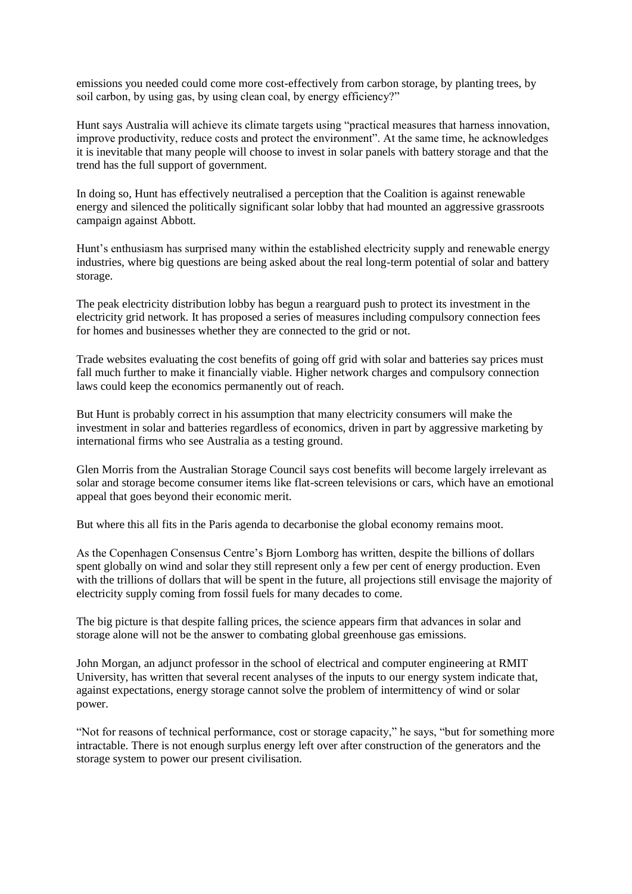emissions you needed could come more cost-effectively from carbon storage, by planting trees, by soil carbon, by using gas, by using clean coal, by energy efficiency?"

Hunt says Australia will achieve its climate targets using "practical measures that harness innovation, improve productivity, reduce costs and protect the environment". At the same time, he acknowledges it is inevitable that many people will choose to invest in solar panels with battery storage and that the trend has the full support of government.

In doing so, Hunt has effectively neutralised a perception that the Coalition is against renewable energy and silenced the politically significant solar lobby that had mounted an aggressive grassroots campaign against Abbott.

Hunt's enthusiasm has surprised many within the established electricity supply and renewable energy industries, where big questions are being asked about the real long-term potential of solar and battery storage.

The peak electricity distribution lobby has begun a rearguard push to protect its investment in the electricity grid network. It has proposed a series of measures including compulsory connection fees for homes and businesses whether they are connected to the grid or not.

Trade websites evaluating the cost benefits of going off grid with solar and batteries say prices must fall much further to make it financially viable. Higher network charges and compulsory connection laws could keep the economics permanently out of reach.

But Hunt is probably correct in his assumption that many electricity consumers will make the investment in solar and batteries regardless of economics, driven in part by aggressive marketing by international firms who see Australia as a testing ground.

Glen Morris from the Australian Storage Council says cost benefits will become largely irrelevant as solar and storage become consumer items like flat-screen televisions or cars, which have an emotional appeal that goes beyond their economic merit.

But where this all fits in the Paris agenda to decarbonise the global economy remains moot.

As the Copenhagen Consensus Centre's Bjorn Lomborg has written, despite the billions of dollars spent globally on wind and solar they still represent only a few per cent of energy production. Even with the trillions of dollars that will be spent in the future, all projections still envisage the majority of electricity supply coming from fossil fuels for many decades to come.

The big picture is that despite falling prices, the science appears firm that advances in solar and storage alone will not be the answer to combating global greenhouse gas emissions.

John Morgan, an adjunct professor in the school of electrical and computer engineering at RMIT University, has written that several recent analyses of the inputs to our energy system indicate that, against expectations, energy storage cannot solve the problem of intermittency of wind or solar power.

"Not for reasons of technical performance, cost or storage capacity," he says, "but for something more intractable. There is not enough surplus energy left over after construction of the generators and the storage system to power our present civilisation.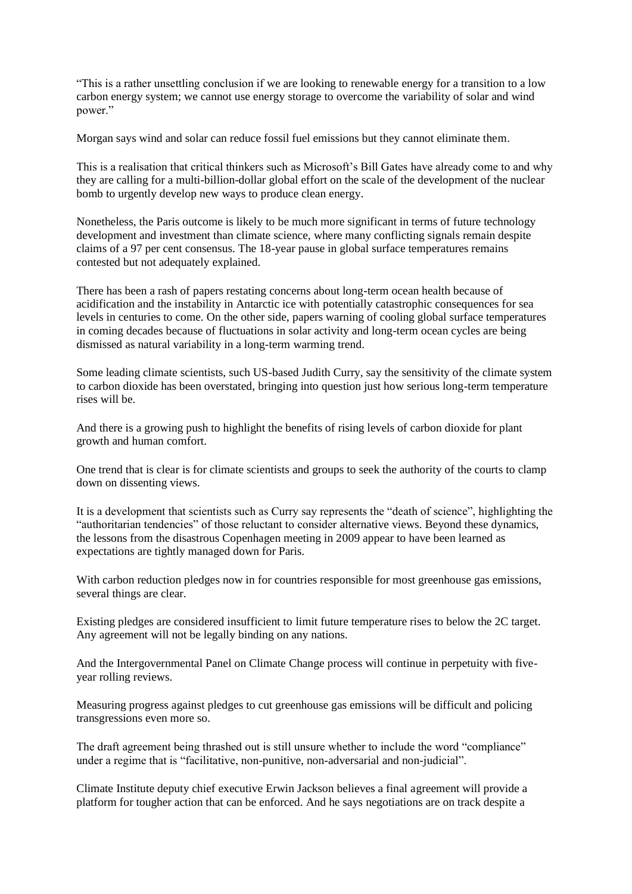"This is a rather unsettling conclusion if we are looking to renewable energy for a transition to a low carbon energy system; we cannot use energy storage to overcome the variability of solar and wind power."

Morgan says wind and solar can reduce fossil fuel emissions but they cannot eliminate them.

This is a realisation that critical thinkers such as Microsoft's Bill Gates have already come to and why they are calling for a multi-billion-dollar global effort on the scale of the development of the nuclear bomb to urgently develop new ways to produce clean energy.

Nonetheless, the Paris outcome is likely to be much more significant in terms of future technology development and investment than climate science, where many conflicting signals remain despite claims of a 97 per cent consensus. The 18-year pause in global surface temperatures remains contested but not adequately explained.

There has been a rash of papers restating concerns about long-term ocean health because of acidification and the instability in Antarctic ice with potentially catastrophic consequences for sea levels in centuries to come. On the other side, papers warning of cooling global surface temperatures in coming decades because of fluctuations in solar activity and long-term ocean cycles are being dismissed as natural variability in a long-term warming trend.

Some leading climate scientists, such US-based Judith Curry, say the sensitivity of the climate system to carbon dioxide has been overstated, bringing into question just how serious long-term temperature rises will be.

And there is a growing push to highlight the benefits of rising levels of carbon dioxide for plant growth and human comfort.

One trend that is clear is for climate scientists and groups to seek the authority of the courts to clamp down on dissenting views.

It is a development that scientists such as Curry say represents the "death of science", highlighting the "authoritarian tendencies" of those reluctant to consider alternative views. Beyond these dynamics, the lessons from the disastrous Copenhagen meeting in 2009 appear to have been learned as expectations are tightly managed down for Paris.

With carbon reduction pledges now in for countries responsible for most greenhouse gas emissions, several things are clear.

Existing pledges are considered insufficient to limit future temperature rises to below the 2C target. Any agreement will not be legally binding on any nations.

And the Intergovernmental Panel on Climate Change process will continue in perpetuity with fiveyear rolling reviews.

Measuring progress against pledges to cut greenhouse gas emissions will be difficult and policing transgressions even more so.

The draft agreement being thrashed out is still unsure whether to include the word "compliance" under a regime that is "facilitative, non-punitive, non-adversarial and non-judicial".

Climate Institute deputy chief executive Erwin Jackson believes a final agreement will provide a platform for tougher action that can be enforced. And he says negotiations are on track despite a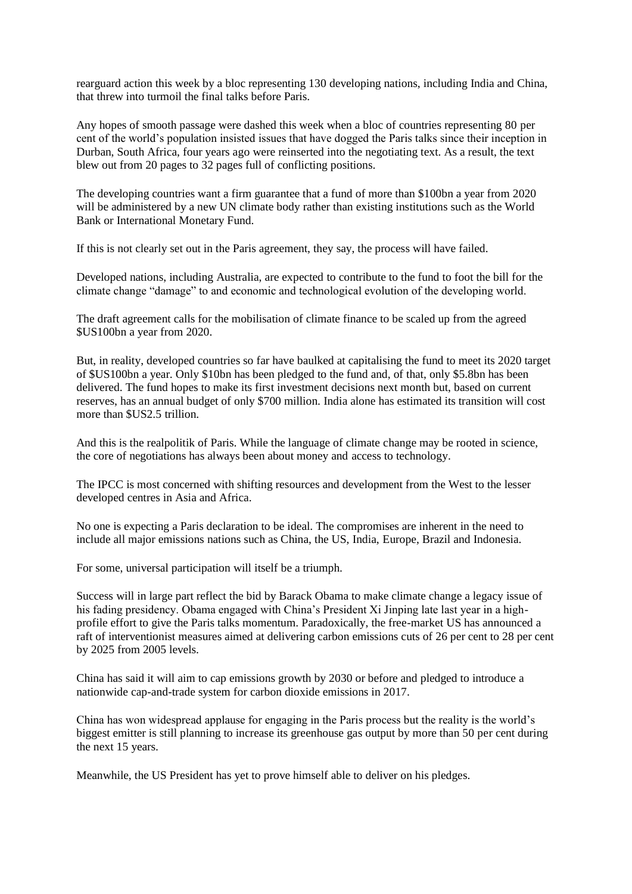rearguard action this week by a bloc representing 130 developing nations, including India and China, that threw into turmoil the final talks before Paris.

Any hopes of smooth passage were dashed this week when a bloc of countries representing 80 per cent of the world's population insisted issues that have dogged the Paris talks since their inception in Durban, South Africa, four years ago were reinserted into the negotiating text. As a result, the text blew out from 20 pages to 32 pages full of conflicting positions.

The developing countries want a firm guarantee that a fund of more than \$100bn a year from 2020 will be administered by a new UN climate body rather than existing institutions such as the World Bank or International Monetary Fund.

If this is not clearly set out in the Paris agreement, they say, the process will have failed.

Developed nations, including Australia, are expected to contribute to the fund to foot the bill for the climate change "damage" to and economic and technological evolution of the developing world.

The draft agreement calls for the mobilisation of climate finance to be scaled up from the agreed \$US100bn a year from 2020.

But, in reality, developed countries so far have baulked at capitalising the fund to meet its 2020 target of \$US100bn a year. Only \$10bn has been pledged to the fund and, of that, only \$5.8bn has been delivered. The fund hopes to make its first investment decisions next month but, based on current reserves, has an annual budget of only \$700 million. India alone has estimated its transition will cost more than \$US2.5 trillion.

And this is the realpolitik of Paris. While the language of climate change may be rooted in science, the core of negotiations has always been about money and access to technology.

The IPCC is most concerned with shifting resources and development from the West to the lesser developed centres in Asia and Africa.

No one is expecting a Paris declaration to be ideal. The compromises are inherent in the need to include all major emissions nations such as China, the US, India, Europe, Brazil and Indonesia.

For some, universal participation will itself be a triumph.

Success will in large part reflect the bid by Barack Obama to make climate change a legacy issue of his fading presidency. Obama engaged with China's President Xi Jinping late last year in a highprofile effort to give the Paris talks momentum. Paradoxically, the free-market US has announced a raft of interventionist measures aimed at delivering carbon emissions cuts of 26 per cent to 28 per cent by 2025 from 2005 levels.

China has said it will aim to cap emissions growth by 2030 or before and pledged to introduce a nationwide cap-and-trade system for carbon dioxide emissions in 2017.

China has won widespread applause for engaging in the Paris process but the reality is the world's biggest emitter is still planning to increase its greenhouse gas output by more than 50 per cent during the next 15 years.

Meanwhile, the US President has yet to prove himself able to deliver on his pledges.